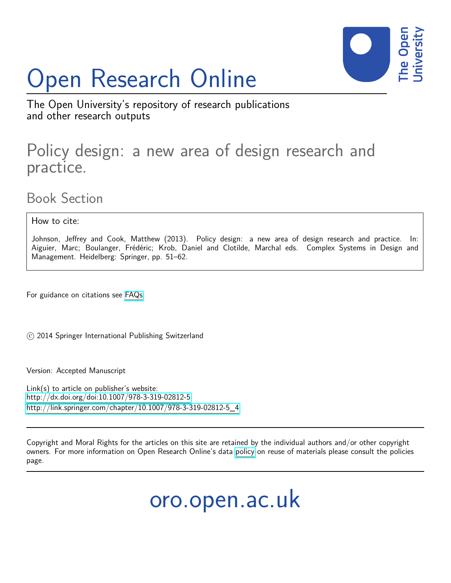# Open Research Online



The Open University's repository of research publications and other research outputs

## Policy design: a new area of design research and practice.

Book Section

How to cite:

Johnson, Jeffrey and Cook, Matthew (2013). Policy design: a new area of design research and practice. In: Aiguier, Marc; Boulanger, Frédéric; Krob, Daniel and Clotilde, Marchal eds. Complex Systems in Design and Management. Heidelberg: Springer, pp. 51–62.

For guidance on citations see [FAQs.](http://oro.open.ac.uk/help/helpfaq.html)

c 2014 Springer International Publishing Switzerland

Version: Accepted Manuscript

Link(s) to article on publisher's website: <http://dx.doi.org/doi:10.1007/978-3-319-02812-5> [http://link.springer.com/chapter/10.1007/978-3-319-02812-5\\_4](http://link.springer.com/chapter/10.1007/978-3-319-02812-5_4)

Copyright and Moral Rights for the articles on this site are retained by the individual authors and/or other copyright owners. For more information on Open Research Online's data [policy](http://oro.open.ac.uk/policies.html) on reuse of materials please consult the policies page.

oro.open.ac.uk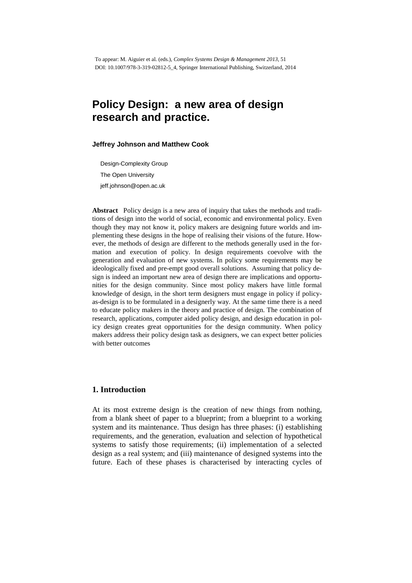To appear: M. Aiguier et al. (eds.), *Complex Systems Design & Management 2013*, 51 DOI: 10.1007/978-3-319-02812-5\_4, Springer International Publishing, Switzerland, 2014

### **Policy Design: a new area of design research and practice.**

**Jeffrey Johnson and Matthew Cook** 

Design-Complexity Group The Open University jeff.johnson@open.ac.uk

**Abstract** Policy design is a new area of inquiry that takes the methods and traditions of design into the world of social, economic and environmental policy. Even though they may not know it, policy makers are designing future worlds and implementing these designs in the hope of realising their visions of the future. However, the methods of design are different to the methods generally used in the formation and execution of policy. In design requirements coevolve with the generation and evaluation of new systems. In policy some requirements may be ideologically fixed and pre-empt good overall solutions. Assuming that policy design is indeed an important new area of design there are implications and opportunities for the design community. Since most policy makers have little formal knowledge of design, in the short term designers must engage in policy if policyas-design is to be formulated in a designerly way. At the same time there is a need to educate policy makers in the theory and practice of design. The combination of research, applications, computer aided policy design, and design education in policy design creates great opportunities for the design community. When policy makers address their policy design task as designers, we can expect better policies with better outcomes

#### **1. Introduction**

At its most extreme design is the creation of new things from nothing, from a blank sheet of paper to a blueprint; from a blueprint to a working system and its maintenance. Thus design has three phases: (i) establishing requirements, and the generation, evaluation and selection of hypothetical systems to satisfy those requirements; (ii) implementation of a selected design as a real system; and (iii) maintenance of designed systems into the future. Each of these phases is characterised by interacting cycles of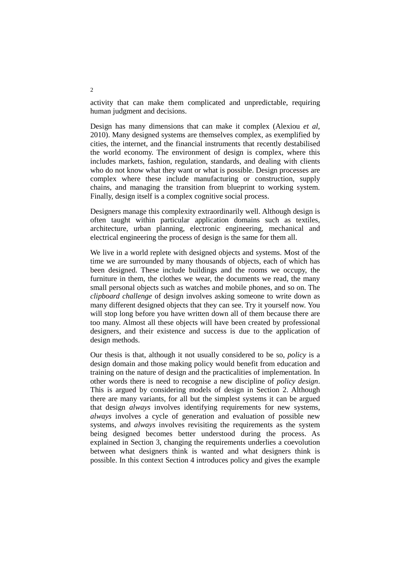activity that can make them complicated and unpredictable, requiring human judgment and decisions.

Design has many dimensions that can make it complex (Alexiou *et al*, 2010). Many designed systems are themselves complex, as exemplified by cities, the internet, and the financial instruments that recently destabilised the world economy. The environment of design is complex, where this includes markets, fashion, regulation, standards, and dealing with clients who do not know what they want or what is possible. Design processes are complex where these include manufacturing or construction, supply chains, and managing the transition from blueprint to working system. Finally, design itself is a complex cognitive social process.

Designers manage this complexity extraordinarily well. Although design is often taught within particular application domains such as textiles, architecture, urban planning, electronic engineering, mechanical and electrical engineering the process of design is the same for them all.

We live in a world replete with designed objects and systems. Most of the time we are surrounded by many thousands of objects, each of which has been designed. These include buildings and the rooms we occupy, the furniture in them, the clothes we wear, the documents we read, the many small personal objects such as watches and mobile phones, and so on. The *clipboard challenge* of design involves asking someone to write down as many different designed objects that they can see. Try it yourself now. You will stop long before you have written down all of them because there are too many. Almost all these objects will have been created by professional designers, and their existence and success is due to the application of design methods.

Our thesis is that, although it not usually considered to be so, *policy* is a design domain and those making policy would benefit from education and training on the nature of design and the practicalities of implementation. In other words there is need to recognise a new discipline of *policy design*. This is argued by considering models of design in Section 2. Although there are many variants, for all but the simplest systems it can be argued that design *always* involves identifying requirements for new systems, *always* involves a cycle of generation and evaluation of possible new systems, and *always* involves revisiting the requirements as the system being designed becomes better understood during the process. As explained in Section 3, changing the requirements underlies a coevolution between what designers think is wanted and what designers think is possible. In this context Section 4 introduces policy and gives the example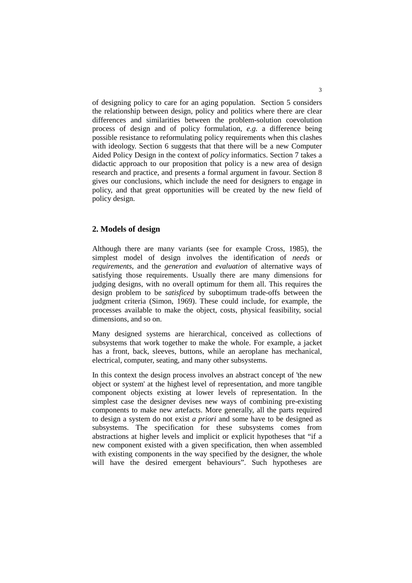of designing policy to care for an aging population. Section 5 considers the relationship between design, policy and politics where there are clear differences and similarities between the problem-solution coevolution process of design and of policy formulation, *e.g.* a difference being possible resistance to reformulating policy requirements when this clashes with ideology. Section 6 suggests that that there will be a new Computer Aided Policy Design in the context of *policy* informatics. Section 7 takes a didactic approach to our proposition that policy is a new area of design research and practice, and presents a formal argument in favour. Section 8 gives our conclusions, which include the need for designers to engage in policy, and that great opportunities will be created by the new field of policy design.

#### **2. Models of design**

Although there are many variants (see for example Cross, 1985), the simplest model of design involves the identification of *needs* or *requirements*, and the *generation* and *evaluation* of alternative ways of satisfying those requirements. Usually there are many dimensions for judging designs, with no overall optimum for them all. This requires the design problem to be *satisficed* by suboptimum trade-offs between the judgment criteria (Simon, 1969). These could include, for example, the processes available to make the object, costs, physical feasibility, social dimensions, and so on.

Many designed systems are hierarchical, conceived as collections of subsystems that work together to make the whole. For example, a jacket has a front, back, sleeves, buttons, while an aeroplane has mechanical, electrical, computer, seating, and many other subsystems.

In this context the design process involves an abstract concept of 'the new object or system' at the highest level of representation, and more tangible component objects existing at lower levels of representation. In the simplest case the designer devises new ways of combining pre-existing components to make new artefacts. More generally, all the parts required to design a system do not exist *a priori* and some have to be designed as subsystems. The specification for these subsystems comes from abstractions at higher levels and implicit or explicit hypotheses that "if a new component existed with a given specification, then when assembled with existing components in the way specified by the designer, the whole will have the desired emergent behaviours". Such hypotheses are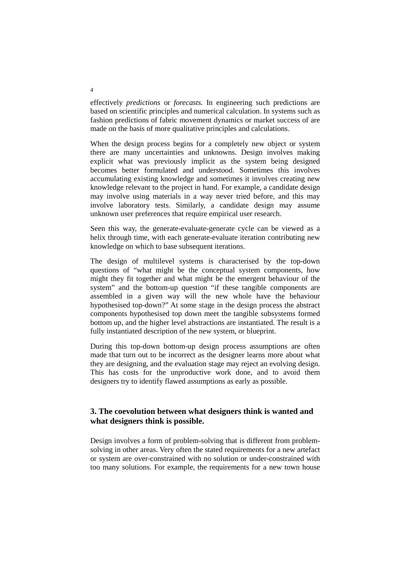effectively *predictions* or *forecasts.* In engineering such predictions are based on scientific principles and numerical calculation. In systems such as fashion predictions of fabric movement dynamics or market success of are made on the basis of more qualitative principles and calculations.

When the design process begins for a completely new object or system there are many uncertainties and unknowns. Design involves making explicit what was previously implicit as the system being designed becomes better formulated and understood. Sometimes this involves accumulating existing knowledge and sometimes it involves creating new knowledge relevant to the project in hand. For example, a candidate design may involve using materials in a way never tried before, and this may involve laboratory tests. Similarly, a candidate design may assume unknown user preferences that require empirical user research.

Seen this way, the generate-evaluate-generate cycle can be viewed as a helix through time, with each generate-evaluate iteration contributing new knowledge on which to base subsequent iterations.

The design of multilevel systems is characterised by the top-down questions of "what might be the conceptual system components, how might they fit together and what might be the emergent behaviour of the system" and the bottom-up question "if these tangible components are assembled in a given way will the new whole have the behaviour hypothesised top-down?" At some stage in the design process the abstract components hypothesised top down meet the tangible subsystems formed bottom up, and the higher level abstractions are instantiated. The result is a fully instantiated description of the new system, or blueprint.

During this top-down bottom-up design process assumptions are often made that turn out to be incorrect as the designer learns more about what they are designing, and the evaluation stage may reject an evolving design. This has costs for the unproductive work done, and to avoid them designers try to identify flawed assumptions as early as possible.

#### **3. The coevolution between what designers think is wanted and what designers think is possible.**

Design involves a form of problem-solving that is different from problemsolving in other areas. Very often the stated requirements for a new artefact or system are over-constrained with no solution or under-constrained with too many solutions. For example, the requirements for a new town house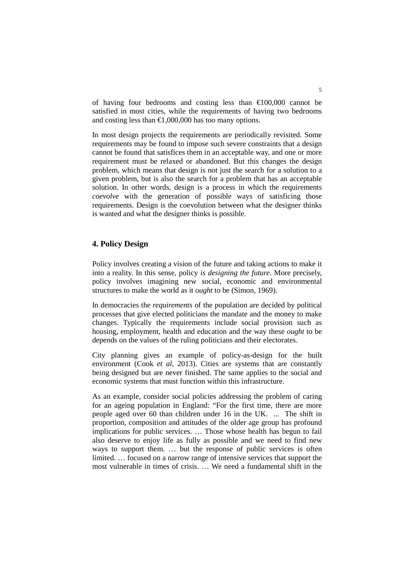of having four bedrooms and costing less than  $\epsilon$ 100000 cannot be satisfied in most cities, while the requirements of having two bedrooms and costing less than  $\epsilon$ 1,000,000 has too many options.

In most design projects the requirements are periodically revisited. Some requirements may be found to impose such severe constraints that a design cannot be found that satisfices them in an acceptable way, and one or more requirement must be relaxed or abandoned. But this changes the design problem, which means that design is not just the search for a solution to a given problem, but is also the search for a problem that has an acceptable solution. In other words, design is a process in which the requirements *coevolve* with the generation of possible ways of satisficing those requirements. Design is the coevolution between what the designer thinks is wanted and what the designer thinks is possible.

#### **4. Policy Design**

Policy involves creating a vision of the future and taking actions to make it into a reality. In this sense, policy *is designing the future*. More precisely, policy involves imagining new social, economic and environmental structures to make the world as it *ought* to be (Simon, 1969).

In democracies the *requirements* of the population are decided by political processes that give elected politicians the mandate and the money to make changes. Typically the requirements include social provision such as housing, employment, health and education and the way these *ought* to be depends on the values of the ruling politicians and their electorates.

City planning gives an example of policy-as-design for the built environment (Cook *et al*, 2013). Cities are systems that are constantly being designed but are never finished. The same applies to the social and economic systems that must function within this infrastructure.

As an example, consider social policies addressing the problem of caring for an ageing population in England: "For the first time, there are more people aged over 60 than children under 16 in the UK. ... The shift in proportion, composition and attitudes of the older age group has profound implications for public services. … Those whose health has begun to fail also deserve to enjoy life as fully as possible and we need to find new ways to support them. … but the response of public services is often limited. … focused on a narrow range of intensive services that support the most vulnerable in times of crisis. … We need a fundamental shift in the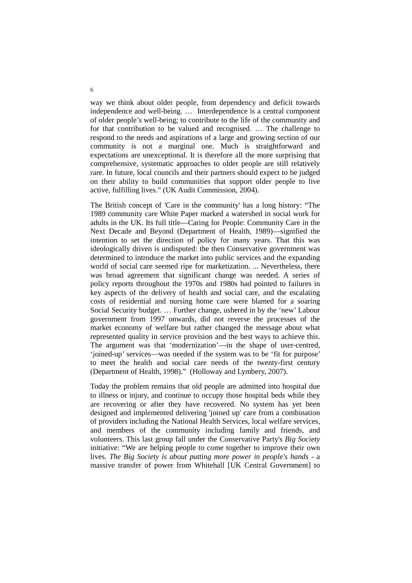way we think about older people, from dependency and deficit towards independence and well-being. … Interdependence is a central component of older people's well-being; to contribute to the life of the community and for that contribution to be valued and recognised. … The challenge to respond to the needs and aspirations of a large and growing section of our community is not a marginal one. Much is straightforward and expectations are unexceptional. It is therefore all the more surprising that comprehensive, systematic approaches to older people are still relatively rare. In future, local councils and their partners should expect to be judged on their ability to build communities that support older people to live active, fulfilling lives." (UK Audit Commission, 2004).

The British concept of 'Care in the community' has a long history: "The 1989 community care White Paper marked a watershed in social work for adults in the UK. Its full title—Caring for People: Community Care in the Next Decade and Beyond (Department of Health, 1989)—signified the intention to set the direction of policy for many years. That this was ideologically driven is undisputed: the then Conservative government was determined to introduce the market into public services and the expanding world of social care seemed ripe for marketization. ... Nevertheless, there was broad agreement that significant change was needed. A series of policy reports throughout the 1970s and 1980s had pointed to failures in key aspects of the delivery of health and social care, and the escalating costs of residential and nursing home care were blamed for a soaring Social Security budget. … Further change, ushered in by the 'new' Labour government from 1997 onwards, did not reverse the processes of the market economy of welfare but rather changed the message about what represented quality in service provision and the best ways to achieve this. The argument was that 'modernization'—in the shape of user-centred, 'joined-up' services—was needed if the system was to be 'fit for purpose' to meet the health and social care needs of the twenty-first century (Department of Health, 1998)." (Holloway and Lymbery, 2007).

Today the problem remains that old people are admitted into hospital due to illness or injury, and continue to occupy those hospital beds while they are recovering or after they have recovered. No system has yet been designed and implemented delivering 'joined up' care from a combination of providers including the National Health Services, local welfare services, and members of the community including family and friends, and volunteers. This last group fall under the Conservative Party's *Big Society* initiative: "We are helping people to come together to improve their own lives*. The Big Society is about putting more power in people's hands* - a massive transfer of power from Whitehall [UK Central Government] to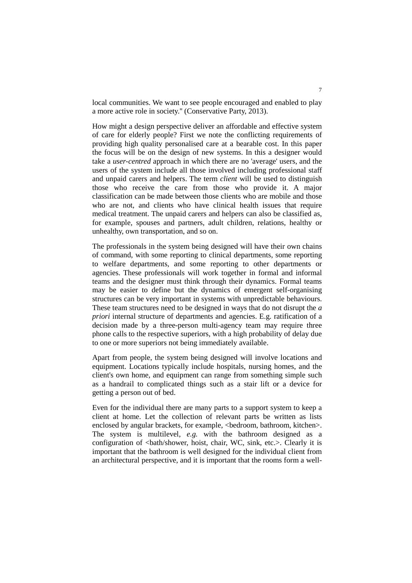local communities. We want to see people encouraged and enabled to play a more active role in society.'' (Conservative Party, 2013).

How might a design perspective deliver an affordable and effective system of care for elderly people? First we note the conflicting requirements of providing high quality personalised care at a bearable cost. In this paper the focus will be on the design of new systems. In this a designer would take a *user-centred* approach in which there are no 'average' users, and the users of the system include all those involved including professional staff and unpaid carers and helpers. The term *client* will be used to distinguish those who receive the care from those who provide it. A major classification can be made between those clients who are mobile and those who are not, and clients who have clinical health issues that require medical treatment. The unpaid carers and helpers can also be classified as, for example, spouses and partners, adult children, relations, healthy or unhealthy, own transportation, and so on.

The professionals in the system being designed will have their own chains of command, with some reporting to clinical departments, some reporting to welfare departments, and some reporting to other departments or agencies. These professionals will work together in formal and informal teams and the designer must think through their dynamics. Formal teams may be easier to define but the dynamics of emergent self-organising structures can be very important in systems with unpredictable behaviours. These team structures need to be designed in ways that do not disrupt the *a priori* internal structure of departments and agencies. E.g. ratification of a decision made by a three-person multi-agency team may require three phone calls to the respective superiors, with a high probability of delay due to one or more superiors not being immediately available.

Apart from people, the system being designed will involve locations and equipment. Locations typically include hospitals, nursing homes, and the client's own home, and equipment can range from something simple such as a handrail to complicated things such as a stair lift or a device for getting a person out of bed.

Even for the individual there are many parts to a support system to keep a client at home. Let the collection of relevant parts be written as lists enclosed by angular brackets, for example, <br/>bedroom, bathroom, kitchen>. The system is multilevel, *e.g.* with the bathroom designed as a configuration of <br/> <br/> <br/> <br/> <br/> <br/> <br/> About, chair, WC, sink, etc.>. Clearly it is important that the bathroom is well designed for the individual client from an architectural perspective, and it is important that the rooms form a well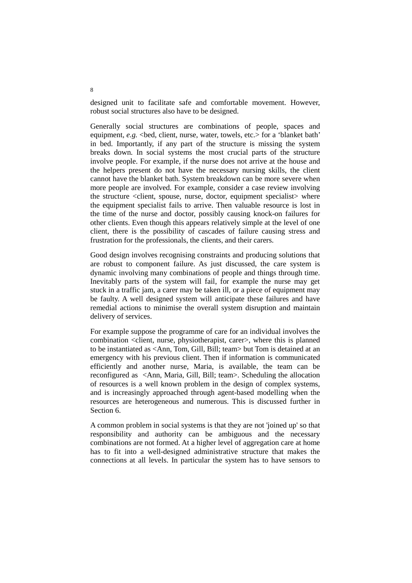designed unit to facilitate safe and comfortable movement. However, robust social structures also have to be designed.

Generally social structures are combinations of people, spaces and equipment, *e.g.* <bed, client, nurse, water, towels, etc.> for a 'blanket bath' in bed. Importantly, if any part of the structure is missing the system breaks down. In social systems the most crucial parts of the structure involve people. For example, if the nurse does not arrive at the house and the helpers present do not have the necessary nursing skills, the client cannot have the blanket bath. System breakdown can be more severe when more people are involved. For example, consider a case review involving the structure <client, spouse, nurse, doctor, equipment specialist> where the equipment specialist fails to arrive. Then valuable resource is lost in the time of the nurse and doctor, possibly causing knock-on failures for other clients. Even though this appears relatively simple at the level of one client, there is the possibility of cascades of failure causing stress and frustration for the professionals, the clients, and their carers.

Good design involves recognising constraints and producing solutions that are robust to component failure. As just discussed, the care system is dynamic involving many combinations of people and things through time. Inevitably parts of the system will fail, for example the nurse may get stuck in a traffic jam, a carer may be taken ill, or a piece of equipment may be faulty. A well designed system will anticipate these failures and have remedial actions to minimise the overall system disruption and maintain delivery of services.

For example suppose the programme of care for an individual involves the combination <client, nurse, physiotherapist, carer>, where this is planned to be instantiated as <Ann, Tom, Gill, Bill; team> but Tom is detained at an emergency with his previous client. Then if information is communicated efficiently and another nurse, Maria, is available, the team can be reconfigured as <Ann, Maria, Gill, Bill; team>. Scheduling the allocation of resources is a well known problem in the design of complex systems, and is increasingly approached through agent-based modelling when the resources are heterogeneous and numerous. This is discussed further in Section 6.

A common problem in social systems is that they are not 'joined up' so that responsibility and authority can be ambiguous and the necessary combinations are not formed. At a higher level of aggregation care at home has to fit into a well-designed administrative structure that makes the connections at all levels. In particular the system has to have sensors to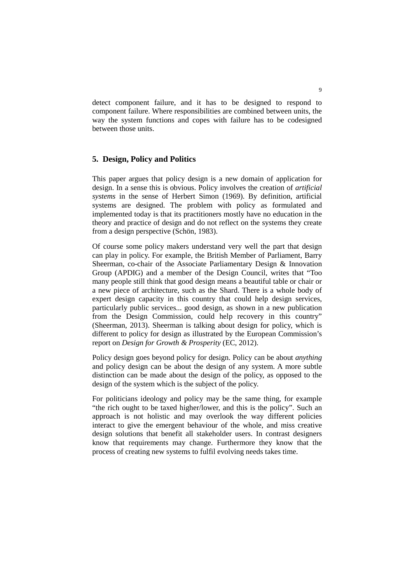detect component failure, and it has to be designed to respond to component failure. Where responsibilities are combined between units, the way the system functions and copes with failure has to be codesigned between those units.

#### **5. Design, Policy and Politics**

This paper argues that policy design is a new domain of application for design. In a sense this is obvious. Policy involves the creation of *artificial systems* in the sense of Herbert Simon (1969). By definition, artificial systems are designed. The problem with policy as formulated and implemented today is that its practitioners mostly have no education in the theory and practice of design and do not reflect on the systems they create from a design perspective (Schön, 1983).

Of course some policy makers understand very well the part that design can play in policy. For example, the British Member of Parliament, Barry Sheerman, co-chair of the Associate Parliamentary Design & Innovation Group (APDIG) and a member of the Design Council, writes that "Too many people still think that good design means a beautiful table or chair or a new piece of architecture, such as the Shard. There is a whole body of expert design capacity in this country that could help design services, particularly public services... good design, as shown in a new publication from the Design Commission, could help recovery in this country" (Sheerman, 2013). Sheerman is talking about design for policy, which is different to policy for design as illustrated by the European Commission's report on *Design for Growth & Prosperity* (EC, 2012).

Policy design goes beyond policy for design. Policy can be about *anything* and policy design can be about the design of any system. A more subtle distinction can be made about the design of the policy, as opposed to the design of the system which is the subject of the policy.

For politicians ideology and policy may be the same thing, for example "the rich ought to be taxed higher/lower, and this is the policy". Such an approach is not holistic and may overlook the way different policies interact to give the emergent behaviour of the whole, and miss creative design solutions that benefit all stakeholder users. In contrast designers know that requirements may change. Furthermore they know that the process of creating new systems to fulfil evolving needs takes time.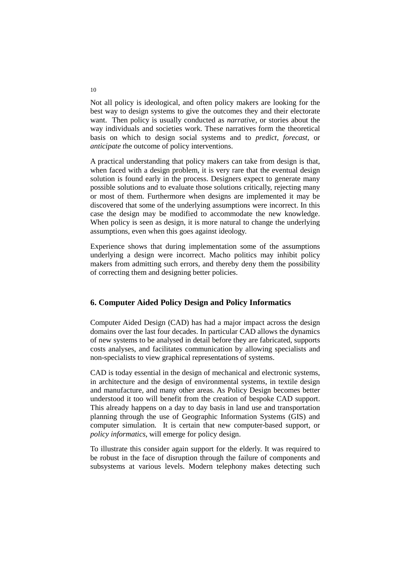Not all policy is ideological, and often policy makers are looking for the best way to design systems to give the outcomes they and their electorate want. Then policy is usually conducted as *narrative*, or stories about the way individuals and societies work. These narratives form the theoretical basis on which to design social systems and to *predict*, *forecast*, or *anticipate t*he outcome of policy interventions.

A practical understanding that policy makers can take from design is that, when faced with a design problem, it is very rare that the eventual design solution is found early in the process. Designers expect to generate many possible solutions and to evaluate those solutions critically, rejecting many or most of them. Furthermore when designs are implemented it may be discovered that some of the underlying assumptions were incorrect. In this case the design may be modified to accommodate the new knowledge. When policy is seen as design, it is more natural to change the underlying assumptions, even when this goes against ideology.

Experience shows that during implementation some of the assumptions underlying a design were incorrect. Macho politics may inhibit policy makers from admitting such errors, and thereby deny them the possibility of correcting them and designing better policies.

#### **6. Computer Aided Policy Design and Policy Informatics**

Computer Aided Design (CAD) has had a major impact across the design domains over the last four decades. In particular CAD allows the dynamics of new systems to be analysed in detail before they are fabricated, supports costs analyses, and facilitates communication by allowing specialists and non-specialists to view graphical representations of systems.

CAD is today essential in the design of mechanical and electronic systems, in architecture and the design of environmental systems, in textile design and manufacture, and many other areas. As Policy Design becomes better understood it too will benefit from the creation of bespoke CAD support. This already happens on a day to day basis in land use and transportation planning through the use of Geographic Information Systems (GIS) and computer simulation. It is certain that new computer-based support, or *policy informatics*, will emerge for policy design.

To illustrate this consider again support for the elderly. It was required to be robust in the face of disruption through the failure of components and subsystems at various levels. Modern telephony makes detecting such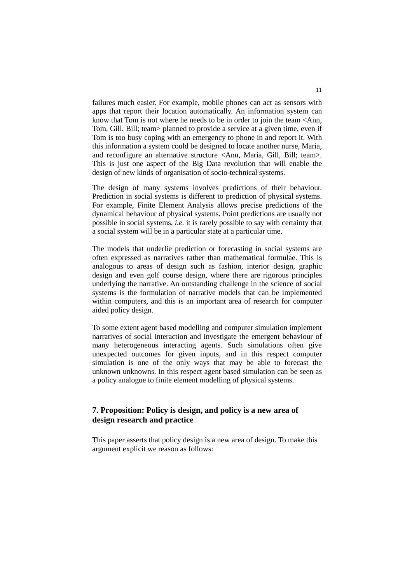failures much easier. For example, mobile phones can act as sensors with apps that report their location automatically. An information system can know that Tom is not where he needs to be in order to join the team <Ann, Tom, Gill, Bill; team> planned to provide a service at a given time, even if Tom is too busy coping with an emergency to phone in and report it. With this information a system could be designed to locate another nurse, Maria, and reconfigure an alternative structure <Ann, Maria, Gill, Bill; team>. This is just one aspect of the Big Data revolution that will enable the design of new kinds of organisation of socio-technical systems.

The design of many systems involves predictions of their behaviour. Prediction in social systems is different to prediction of physical systems. For example, Finite Element Analysis allows precise predictions of the dynamical behaviour of physical systems. Point predictions are usually not possible in social systems, *i.e.* it is rarely possible to say with certainty that a social system will be in a particular state at a particular time.

The models that underlie prediction or forecasting in social systems are often expressed as narratives rather than mathematical formulae. This is analogous to areas of design such as fashion, interior design, graphic design and even golf course design, where there are rigorous principles underlying the narrative. An outstanding challenge in the science of social systems is the formulation of narrative models that can be implemented within computers, and this is an important area of research for computer aided policy design.

To some extent agent based modelling and computer simulation implement narratives of social interaction and investigate the emergent behaviour of many heterogeneous interacting agents. Such simulations often give unexpected outcomes for given inputs, and in this respect computer simulation is one of the only ways that may be able to forecast the unknown unknowns. In this respect agent based simulation can be seen as a policy analogue to finite element modelling of physical systems.

#### **7. Proposition: Policy is design, and policy is a new area of design research and practice**

This paper asserts that policy design is a new area of design. To make this argument explicit we reason as follows: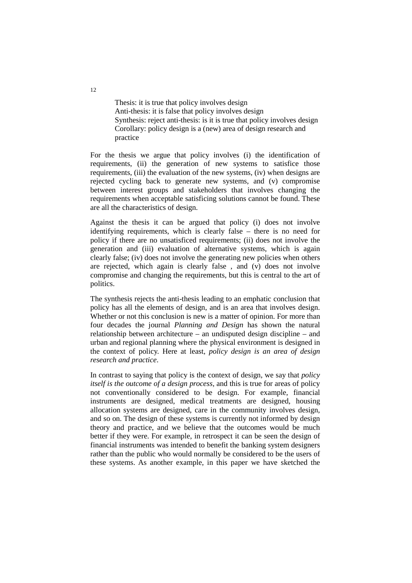Thesis: it is true that policy involves design Anti-thesis: it is false that policy involves design Synthesis: reject anti-thesis: is it is true that policy involves design Corollary: policy design is a (new) area of design research and practice

For the thesis we argue that policy involves (i) the identification of requirements, (ii) the generation of new systems to satisfice those requirements, (iii) the evaluation of the new systems, (iv) when designs are rejected cycling back to generate new systems, and (v) compromise between interest groups and stakeholders that involves changing the requirements when acceptable satisficing solutions cannot be found. These are all the characteristics of design.

Against the thesis it can be argued that policy (i) does not involve identifying requirements, which is clearly false – there is no need for policy if there are no unsatisficed requirements; (ii) does not involve the generation and (iii) evaluation of alternative systems, which is again clearly false; (iv) does not involve the generating new policies when others are rejected, which again is clearly false , and (v) does not involve compromise and changing the requirements, but this is central to the art of politics.

The synthesis rejects the anti-thesis leading to an emphatic conclusion that policy has all the elements of design, and is an area that involves design. Whether or not this conclusion is new is a matter of opinion. For more than four decades the journal *Planning and Design* has shown the natural relationship between architecture – an undisputed design discipline – and urban and regional planning where the physical environment is designed in the context of policy. Here at least, *policy design is an area of design research and practice*.

In contrast to saying that policy is the context of design, we say that *policy itself is the outcome of a design process*, and this is true for areas of policy not conventionally considered to be design. For example, financial instruments are designed, medical treatments are designed, housing allocation systems are designed, care in the community involves design, and so on. The design of these systems is currently not informed by design theory and practice, and we believe that the outcomes would be much better if they were. For example, in retrospect it can be seen the design of financial instruments was intended to benefit the banking system designers rather than the public who would normally be considered to be the users of these systems. As another example, in this paper we have sketched the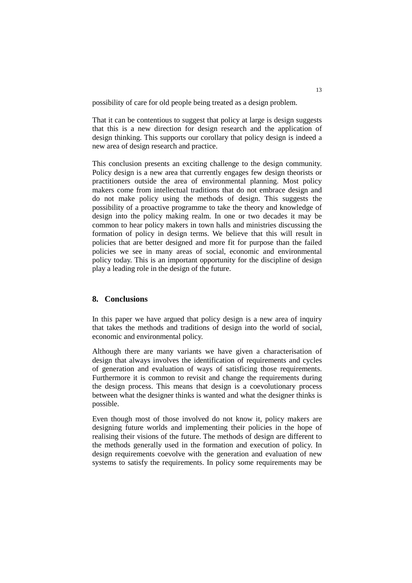possibility of care for old people being treated as a design problem.

That it can be contentious to suggest that policy at large is design suggests that this is a new direction for design research and the application of design thinking. This supports our corollary that policy design is indeed a new area of design research and practice.

This conclusion presents an exciting challenge to the design community. Policy design is a new area that currently engages few design theorists or practitioners outside the area of environmental planning. Most policy makers come from intellectual traditions that do not embrace design and do not make policy using the methods of design. This suggests the possibility of a proactive programme to take the theory and knowledge of design into the policy making realm. In one or two decades it may be common to hear policy makers in town halls and ministries discussing the formation of policy in design terms. We believe that this will result in policies that are better designed and more fit for purpose than the failed policies we see in many areas of social, economic and environmental policy today. This is an important opportunity for the discipline of design play a leading role in the design of the future.

#### **8. Conclusions**

In this paper we have argued that policy design is a new area of inquiry that takes the methods and traditions of design into the world of social, economic and environmental policy.

Although there are many variants we have given a characterisation of design that always involves the identification of requirements and cycles of generation and evaluation of ways of satisficing those requirements. Furthermore it is common to revisit and change the requirements during the design process. This means that design is a coevolutionary process between what the designer thinks is wanted and what the designer thinks is possible.

Even though most of those involved do not know it, policy makers are designing future worlds and implementing their policies in the hope of realising their visions of the future. The methods of design are different to the methods generally used in the formation and execution of policy. In design requirements coevolve with the generation and evaluation of new systems to satisfy the requirements. In policy some requirements may be